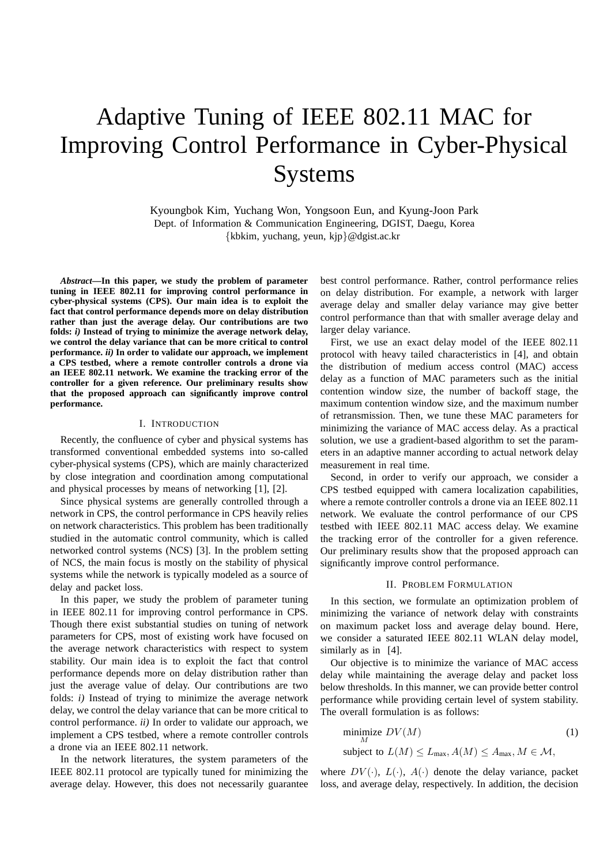# Adaptive Tuning of IEEE 802.11 MAC for Improving Control Performance in Cyber-Physical Systems

Kyoungbok Kim, Yuchang Won, Yongsoon Eun, and Kyung-Joon Park Dept. of Information & Communication Engineering, DGIST, Daegu, Korea {kbkim, yuchang, yeun, kjp}@dgist.ac.kr

*Abstract***—In this paper, we study the problem of parameter tuning in IEEE 802.11 for improving control performance in cyber-physical systems (CPS). Our main idea is to exploit the fact that control performance depends more on delay distribution rather than just the average delay. Our contributions are two folds:** *i)* **Instead of trying to minimize the average network delay, we control the delay variance that can be more critical to control performance.** *ii)* **In order to validate our approach, we implement a CPS testbed, where a remote controller controls a drone via an IEEE 802.11 network. We examine the tracking error of the controller for a given reference. Our preliminary results show that the proposed approach can significantly improve control performance.**

### I. INTRODUCTION

Recently, the confluence of cyber and physical systems has transformed conventional embedded systems into so-called cyber-physical systems (CPS), which are mainly characterized by close integration and coordination among computational and physical processes by means of networking [1], [2].

Since physical systems are generally controlled through a network in CPS, the control performance in CPS heavily relies on network characteristics. This problem has been traditionally studied in the automatic control community, which is called networked control systems (NCS) [3]. In the problem setting of NCS, the main focus is mostly on the stability of physical systems while the network is typically modeled as a source of delay and packet loss.

In this paper, we study the problem of parameter tuning in IEEE 802.11 for improving control performance in CPS. Though there exist substantial studies on tuning of network parameters for CPS, most of existing work have focused on the average network characteristics with respect to system stability. Our main idea is to exploit the fact that control performance depends more on delay distribution rather than just the average value of delay. Our contributions are two folds: *i)* Instead of trying to minimize the average network delay, we control the delay variance that can be more critical to control performance. *ii)* In order to validate our approach, we implement a CPS testbed, where a remote controller controls a drone via an IEEE 802.11 network.

In the network literatures, the system parameters of the IEEE 802.11 protocol are typically tuned for minimizing the average delay. However, this does not necessarily guarantee best control performance. Rather, control performance relies on delay distribution. For example, a network with larger average delay and smaller delay variance may give better control performance than that with smaller average delay and larger delay variance.

First, we use an exact delay model of the IEEE 802.11 protocol with heavy tailed characteristics in [4], and obtain the distribution of medium access control (MAC) access delay as a function of MAC parameters such as the initial contention window size, the number of backoff stage, the maximum contention window size, and the maximum number of retransmission. Then, we tune these MAC parameters for minimizing the variance of MAC access delay. As a practical solution, we use a gradient-based algorithm to set the parameters in an adaptive manner according to actual network delay measurement in real time.

Second, in order to verify our approach, we consider a CPS testbed equipped with camera localization capabilities, where a remote controller controls a drone via an IEEE 802.11 network. We evaluate the control performance of our CPS testbed with IEEE 802.11 MAC access delay. We examine the tracking error of the controller for a given reference. Our preliminary results show that the proposed approach can significantly improve control performance.

#### II. PROBLEM FORMULATION

In this section, we formulate an optimization problem of minimizing the variance of network delay with constraints on maximum packet loss and average delay bound. Here, we consider a saturated IEEE 802.11 WLAN delay model, similarly as in [4].

Our objective is to minimize the variance of MAC access delay while maintaining the average delay and packet loss below thresholds. In this manner, we can provide better control performance while providing certain level of system stability. The overall formulation is as follows:

minimize 
$$
DV(M)
$$
 (1)  
subject to  $L(M) \le L_{\text{max}}, A(M) \le A_{\text{max}}, M \in \mathcal{M}$ ,

where  $DV(\cdot)$ ,  $L(\cdot)$ ,  $A(\cdot)$  denote the delay variance, packet loss, and average delay, respectively. In addition, the decision